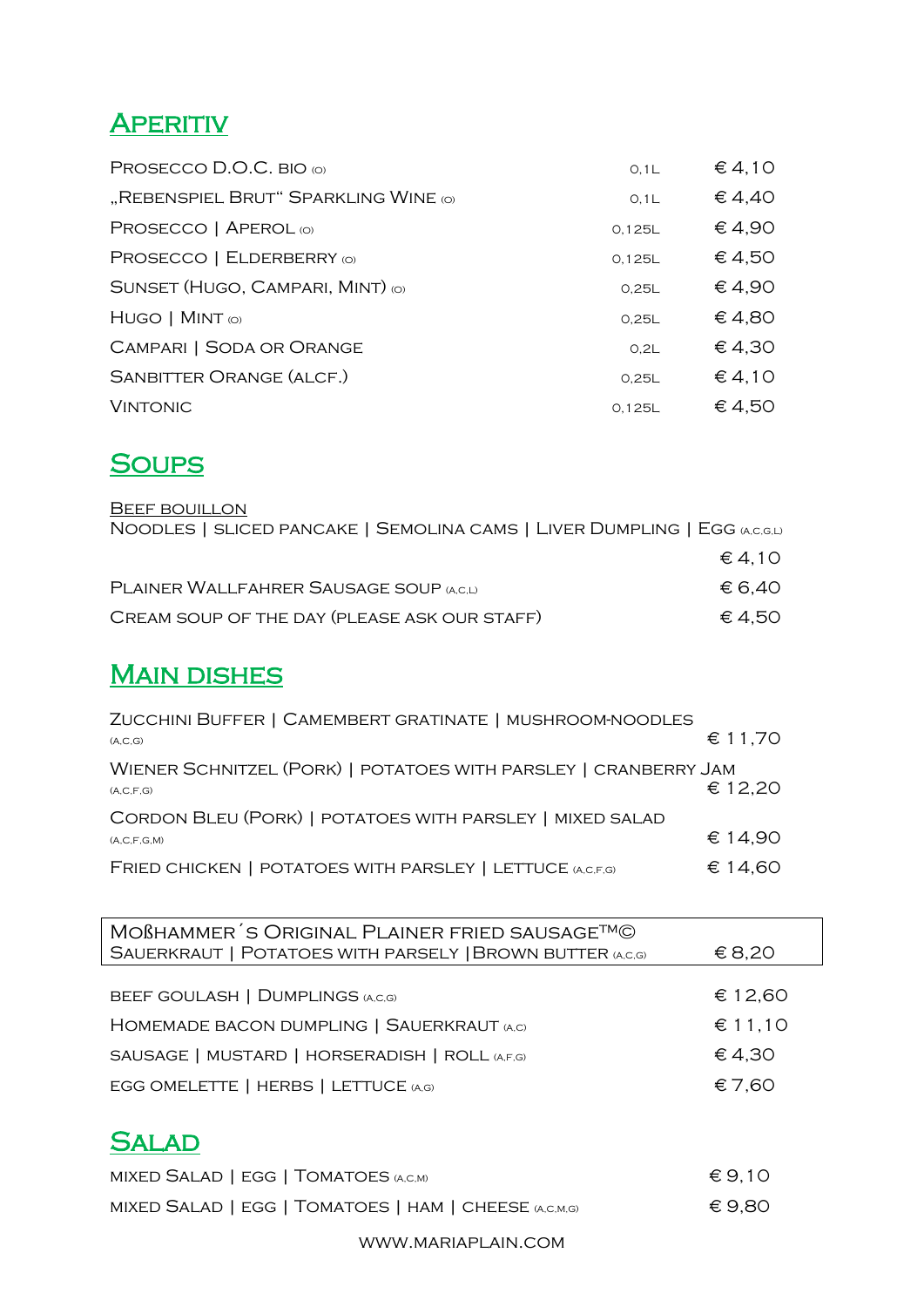# **APERITIV**

| PROSECCO D.O.C. BIO (O)              | O, 1L  | $\in$ 4,10 |
|--------------------------------------|--------|------------|
| "REBENSPIEL BRUT" SPARKLING WINE (O) | O, 1L  | € 4,40     |
| PROSECCO   APEROL (O)                | 0.125L | € 4,90     |
| PROSECCO   ELDERBERRY (O)            | 0.125L | € 4,50     |
| SUNSET (HUGO, CAMPARI, MINT) (O)     | 0.25L  | € 4,90     |
| $HUGO$   MINT $\omega$               | 0.25L  | € 4,80     |
| <b>CAMPARI   SODA OR ORANGE</b>      | 0.2L   | € 4,30     |
| <b>SANBITTER ORANGE (ALCF.)</b>      | 0.25L  | € 4,10     |
| <b>VINTONIC</b>                      | 0,125L | € 4,50     |

## **SOUPS**

| <b>BEEF BOUILLON</b>                                                      |                 |
|---------------------------------------------------------------------------|-----------------|
| NOODLES   SLICED PANCAKE   SEMOLINA CAMS   LIVER DUMPLING   EGG (A,C,G,L) |                 |
|                                                                           | $\epsilon$ 4.10 |
| PLAINER WALLFAHRER SAUSAGE SOUP (A,C,L)                                   | € 6.40          |
| CREAM SOUP OF THE DAY (PLEASE ASK OUR STAFF)                              | € 4.50          |

## **MAIN DISHES**

| ZUCCHINI BUFFER   CAMEMBERT GRATINATE   MUSHROOM-NOODLES                        |         |
|---------------------------------------------------------------------------------|---------|
| (A, C, G)                                                                       | € 11,70 |
| WIENER SCHNITZEL (PORK)   POTATOES WITH PARSLEY   CRANBERRY JAM<br>(A, C, F, G) | € 12,20 |
| CORDON BLEU (PORK)   POTATOES WITH PARSLEY   MIXED SALAD                        |         |
| (A, C, F, G, M)                                                                 | € 14.90 |
| FRIED CHICKEN   POTATOES WITH PARSLEY   LETTUCE (A,C,F,G)                       | € 14.60 |

| MOBHAMMER'S ORIGINAL PLAINER FRIED SAUSAGETM©<br>SAUERKRAUT   POTATOES WITH PARSELY   BROWN BUTTER (A,C,G) | € 8,20  |
|------------------------------------------------------------------------------------------------------------|---------|
|                                                                                                            |         |
| BEEF GOULASH   DUMPLINGS (A,C,G)                                                                           | € 12,60 |
| HOMEMADE BACON DUMPLING   SAUERKRAUT (A,C)                                                                 | € 11,10 |
| SAUSAGE   MUSTARD   HORSERADISH   ROLL (A,F,G)                                                             | € 4,30  |
| EGG OMELETTE   HERBS   LETTUCE (A,G)                                                                       | €7,60   |
|                                                                                                            |         |
| <b>SALAD</b>                                                                                               |         |

| MIXED SALAD   EGG   TOMATOES (A,C,M)                  | $\epsilon$ 9.10 |
|-------------------------------------------------------|-----------------|
| MIXED SALAD   EGG   TOMATOES   HAM   CHEESE (A,C,M,G) | € 9.80          |

www.mariaplain.com